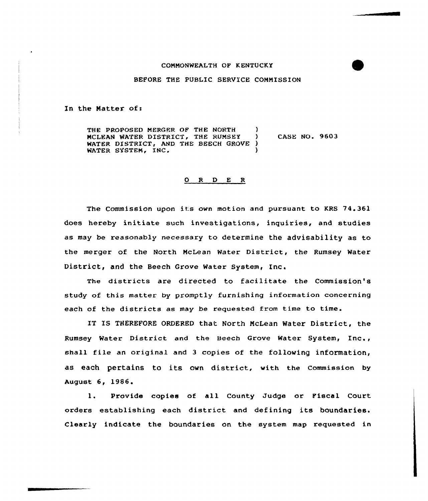## COMMONWEALTH OF KENTUCKY

## BEFORE THE PUBLIC SERV1CE COMMISSION

In the Matter of:

THE PROPOSED MERGER OF THE NORTH (1) MCLEAN WATER DISTRICT, THE RUMSEY ) CASE NO. 9603 WATER DISTRICT, AND THE BEECH GROVE ) WATER SYSTEM, INC.

## 0 R <sup>D</sup> E R

The Commission upon its own motion and pursuant to KRS 74.361 does hereby initiate such investigations, inquiries, and studies as may be reasonably necessary to determine the advisability as to the merger of the North McLean Water District, the Rumsey Water District, and the Beech Grove Water System, Inc.

The districts are directed to facilitate the Commission's study of this matter by promptly furnishing information concerning each of the districts as may be requested from time to time.

IT IS THEREFORE ORDERED that North McLean Water District, the Rumsey Water District and the Beech Grove water System, Inc., shall file an original and <sup>3</sup> copies of the following information, as each pertains to its own district, with the Commission by August 6, 1986.

1. Provide copies of all County Judge or Fiscal Court orders establishing each district and defining its boundaries. Clearly indicate the boundaries on the system map requested in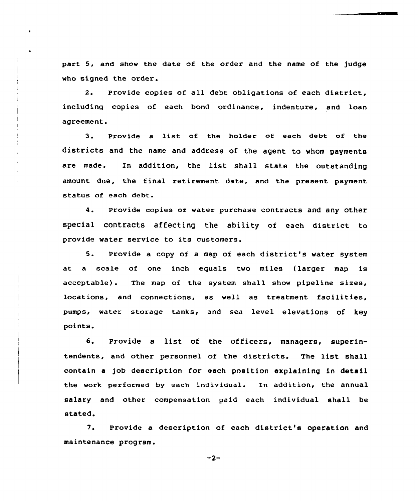part 5, and show the date of the order and the name of the judge who signed the order.

2. Provide copies of all debt obligations of each district, including copies of each bond ordinance, indenture, and loan agreement.

3. Provide <sup>a</sup> list of the holder of each debt of the districts and the name and address of the agent to whom payments are made. In addition, the list shall state the outstanding amount due, the final retirement date, and the present payment status of each debt.

4. Provide copies of water purchase contracts and any other special contracts affecting the ability of each district to provide water service to its customers.

5. Provide <sup>a</sup> copy of <sup>a</sup> map of each district's water system at a scale of one inch equals two miles (larger map is acceptable). The map of the system shall show pipeline sizes, locations, and connections, as well as treatment facilities, pumps, water storage tanks, and sea level elevations of key points.

6. Provide <sup>a</sup> list of the officers, managers, superintendents, and other personnel of the districts. The list shall contain a )ob description for each position explaining in detail the work performed by each individual. In addition, the annual salary and other compensation paid each individual shall be stated.

7. Provide a description of each district's operation and maintenance program.

 $-2-$